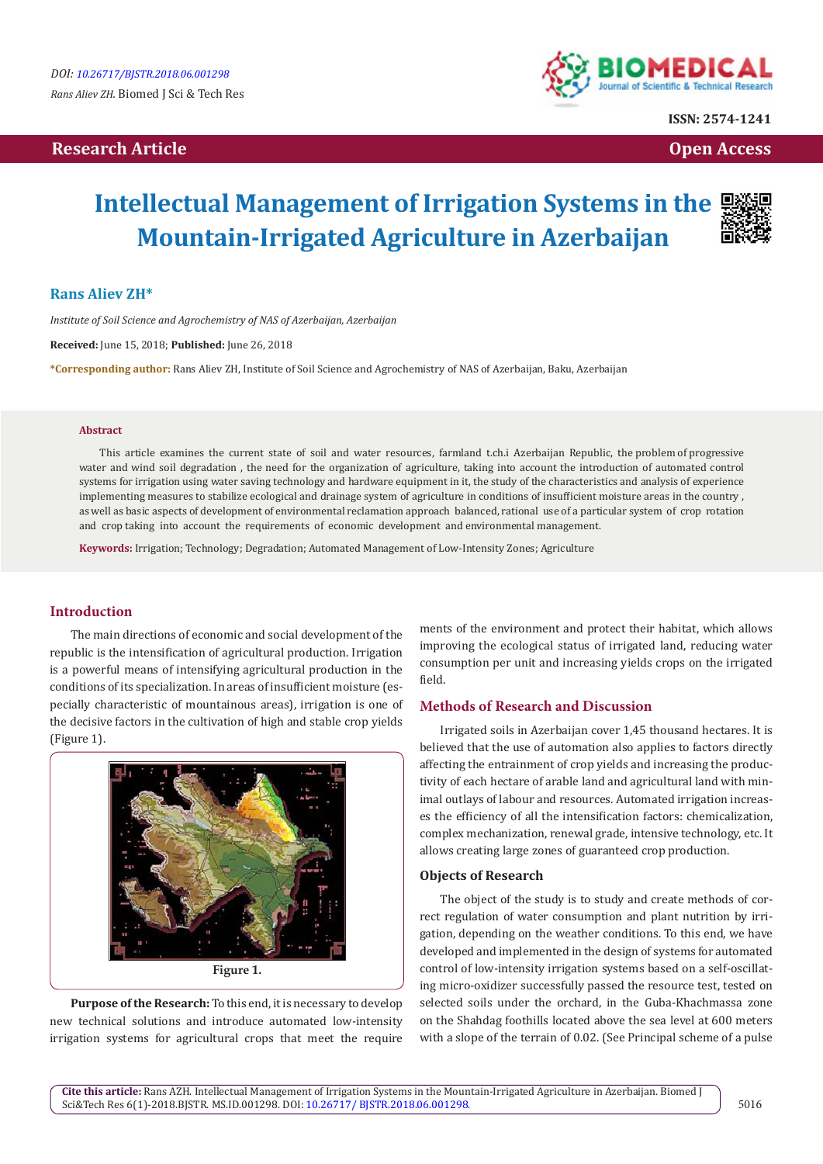# **Research Article Community Community Community Community Community Community Community Community Community Community Community Community Community Community Community Community Community Community Community Community Com**



**ISSN: 2574-1241**

# **Intellectual Management of Irrigation Systems in the Mountain-Irrigated Agriculture in Azerbaijan**



*Institute of Soil Science and Agrochemistry of NAS of Azerbaijan, Azerbaijan* 

**Received:** June 15, 2018; **Published:** June 26, 2018

**\*Corresponding author:** Rans Aliev ZH, Institute of Soil Science and Agrochemistry of NAS of Azerbaijan, Baku, Azerbaijan

#### **Abstract**

This article examines the current state of soil and water resources, farmland t.ch.i Azerbaijan Republic, the problem of progressive water and wind soil degradation , the need for the organization of agriculture, taking into account the introduction of automated control systems for irrigation using water saving technology and hardware equipment in it, the study of the characteristics and analysis of experience implementing measures to stabilize ecological and drainage system of agriculture in conditions of insufficient moisture areas in the country , as well as basic aspects of development of environmental reclamation approach balanced, rational use of a particular system of crop rotation and crop taking into account the requirements of economic development and environmental management.

**Keywords:** Irrigation; Technology; Degradation; Automated Management of Low-Intensity Zones; Agriculture

## **Introduction**

The main directions of economic and social development of the republic is the intensification of agricultural production. Irrigation is a powerful means of intensifying agricultural production in the conditions of its specialization. In areas of insufficient moisture (especially characteristic of mountainous areas), irrigation is one of the decisive factors in the cultivation of high and stable crop yields (Figure 1).



**Purpose of the Research:** To this end, it is necessary to develop new technical solutions and introduce automated low-intensity irrigation systems for agricultural crops that meet the require

ments of the environment and protect their habitat, which allows improving the ecological status of irrigated land, reducing water consumption per unit and increasing yields crops on the irrigated field.

## **Methods of Research and Discussion**

Irrigated soils in Azerbaijan cover 1,45 thousand hectares. It is believed that the use of automation also applies to factors directly affecting the entrainment of crop yields and increasing the productivity of each hectare of arable land and agricultural land with minimal outlays of labour and resources. Automated irrigation increases the efficiency of all the intensification factors: chemicalization, complex mechanization, renewal grade, intensive technology, etc. It allows creating large zones of guaranteed crop production.

#### **Objects of Research**

The object of the study is to study and create methods of correct regulation of water consumption and plant nutrition by irrigation, depending on the weather conditions. To this end, we have developed and implemented in the design of systems for automated control of low-intensity irrigation systems based on a self-oscillating micro-oxidizer successfully passed the resource test, tested on selected soils under the orchard, in the Guba-Khachmassa zone on the Shahdag foothills located above the sea level at 600 meters with a slope of the terrain of 0.02. (See Principal scheme of a pulse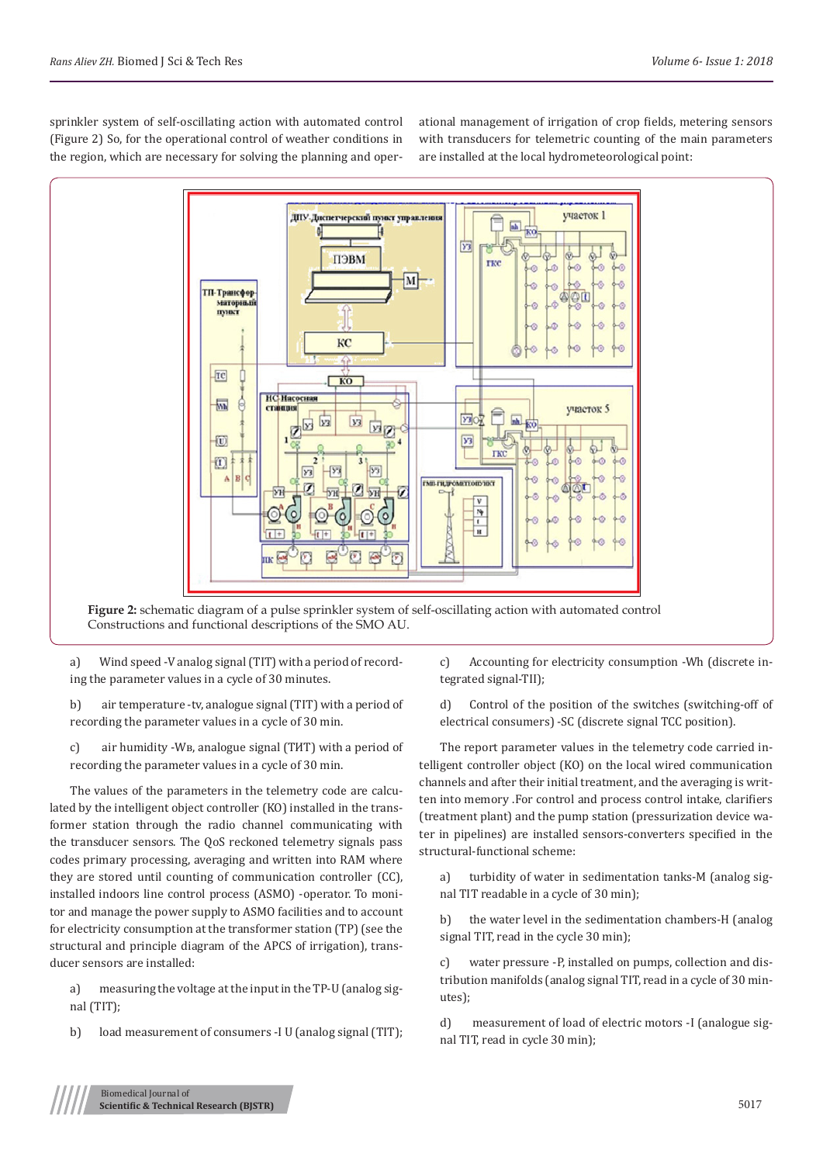sprinkler system of self-oscillating action with automated control (Figure 2) So, for the operational control of weather conditions in the region, which are necessary for solving the planning and operational management of irrigation of crop fields, metering sensors with transducers for telemetric counting of the main parameters are installed at the local hydrometeorological point:



**Figure 2:** schematic diagram of a pulse sprinkler system of self-oscillating action with automated control Constructions and functional descriptions of the SMO AU.

a) Wind speed -V analog signal (TIT) with a period of recording the parameter values in a cycle of 30 minutes.

b) air temperature -tv, analogue signal (TIT) with a period of recording the parameter values in a cycle of 30 min.

c) air humidity -Wв, analogue signal (ТИТ) with a period of recording the parameter values in a cycle of 30 min.

The values of the parameters in the telemetry code are calculated by the intelligent object controller (KO) installed in the transformer station through the radio channel communicating with the transducer sensors. The QoS reckoned telemetry signals pass codes primary processing, averaging and written into RAM where they are stored until counting of communication controller (CC), installed indoors line control process (ASMO) -operator. To monitor and manage the power supply to ASMO facilities and to account for electricity consumption at the transformer station (TP) (see the structural and principle diagram of the APCS of irrigation), transducer sensors are installed:

a) measuring the voltage at the input in the TP-U (analog signal (TIT);

b) load measurement of consumers -I U (analog signal (TIT);

c) Accounting for electricity consumption -Wh (discrete integrated signal-TII);

d) Control of the position of the switches (switching-off of electrical consumers) -SC (discrete signal TCC position).

The report parameter values in the telemetry code carried intelligent controller object (KO) on the local wired communication channels and after their initial treatment, and the averaging is written into memory .For control and process control intake, clarifiers (treatment plant) and the pump station (pressurization device water in pipelines) are installed sensors-converters specified in the structural-functional scheme:

a) turbidity of water in sedimentation tanks-M (analog signal TIT readable in a cycle of 30 min);

b) the water level in the sedimentation chambers-H (analog signal TIT, read in the cycle 30 min);

c) water pressure -P, installed on pumps, collection and distribution manifolds (analog signal TIT, read in a cycle of 30 minutes);

d) measurement of load of electric motors -I (analogue signal TIT, read in cycle 30 min);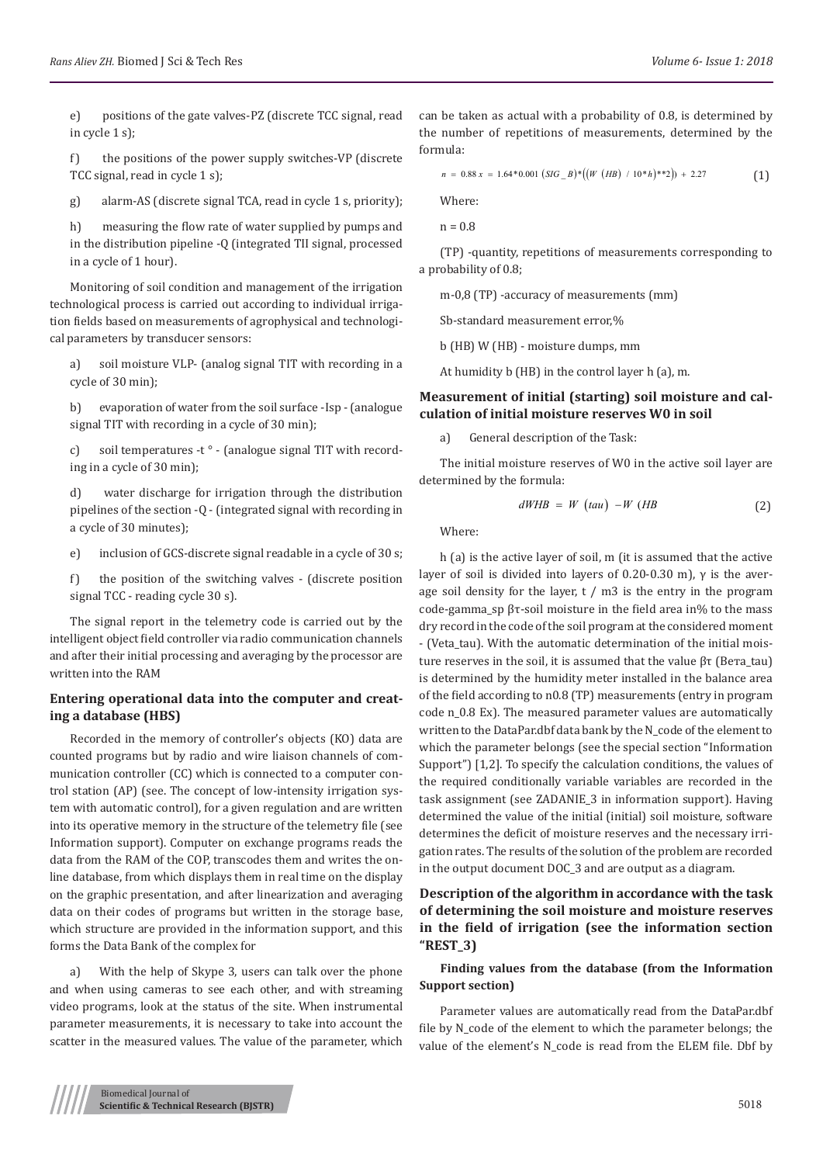e) positions of the gate valves-PZ (discrete TCC signal, read in cycle 1 s);

f) the positions of the power supply switches-VP (discrete TCC signal, read in cycle 1 s);

g) alarm-AS (discrete signal TCA, read in cycle 1 s, priority);

h) measuring the flow rate of water supplied by pumps and in the distribution pipeline -Q (integrated TII signal, processed in a cycle of 1 hour).

Monitoring of soil condition and management of the irrigation technological process is carried out according to individual irrigation fields based on measurements of agrophysical and technological parameters by transducer sensors:

a) soil moisture VLP- (analog signal TIT with recording in a cycle of 30 min);

b) evaporation of water from the soil surface -Isp - (analogue signal TIT with recording in a cycle of 30 min);

c) soil temperatures -t ° - (analogue signal TIT with recording in a cycle of 30 min);

d) water discharge for irrigation through the distribution pipelines of the section -Q - (integrated signal with recording in a cycle of 30 minutes);

e) inclusion of GCS-discrete signal readable in a cycle of 30 s;

f) the position of the switching valves - (discrete position signal TCC - reading cycle 30 s).

The signal report in the telemetry code is carried out by the intelligent object field controller via radio communication channels and after their initial processing and averaging by the processor are written into the RAM

#### **Entering operational data into the computer and creating a database (HBS)**

Recorded in the memory of controller's objects (KO) data are counted programs but by radio and wire liaison channels of communication controller (CC) which is connected to a computer control station (AP) (see. The concept of low-intensity irrigation system with automatic control), for a given regulation and are written into its operative memory in the structure of the telemetry file (see Information support). Computer on exchange programs reads the data from the RAM of the COP, transcodes them and writes the online database, from which displays them in real time on the display on the graphic presentation, and after linearization and averaging data on their codes of programs but written in the storage base, which structure are provided in the information support, and this forms the Data Bank of the complex for

a) With the help of Skype 3, users can talk over the phone and when using cameras to see each other, and with streaming video programs, look at the status of the site. When instrumental parameter measurements, it is necessary to take into account the scatter in the measured values. The value of the parameter, which

can be taken as actual with a probability of 0.8, is determined by the number of repetitions of measurements, determined by the formula:

$$
n = 0.88 x = 1.64 * 0.001 (SIG_B) * ((W (HB) / 10 * h) * 2)) + 2.27
$$
 (1)

Where:

 $n = 0.8$ 

(TP) -quantity, repetitions of measurements corresponding to a probability of 0.8;

m-0,8 (TP) -accuracy of measurements (mm)

Sb-standard measurement error,%

b (HB) W (HB) - moisture dumps, mm

At humidity b (HB) in the control layer h (a), m.

#### **Measurement of initial (starting) soil moisture and calculation of initial moisture reserves W0 in soil**

a) General description of the Task:

The initial moisture reserves of W0 in the active soil layer are determined by the formula:

$$
dWHB = W \t(tau) - W \t(HB \t(2)
$$

Where:

h (a) is the active layer of soil, m (it is assumed that the active layer of soil is divided into layers of 0.20-0.30 m), γ is the average soil density for the layer,  $t / m3$  is the entry in the program code-gamma\_sp βτ-soil moisture in the field area in% to the mass dry record in the code of the soil program at the considered moment - (Veta\_tau). With the automatic determination of the initial moisture reserves in the soil, it is assumed that the value βτ (Вета\_tau) is determined by the humidity meter installed in the balance area of the field according to n0.8 (TP) measurements (entry in program code n\_0.8 Ex). The measured parameter values are automatically written to the DataPar.dbf data bank by the N\_code of the element to which the parameter belongs (see the special section "Information Support") [1,2]. To specify the calculation conditions, the values of the required conditionally variable variables are recorded in the task assignment (see ZADANIE\_3 in information support). Having determined the value of the initial (initial) soil moisture, software determines the deficit of moisture reserves and the necessary irrigation rates. The results of the solution of the problem are recorded in the output document DOC\_3 and are output as a diagram.

# **Description of the algorithm in accordance with the task of determining the soil moisture and moisture reserves in the field of irrigation (see the information section "REST\_3)**

#### **Finding values from the database (from the Information Support section)**

Parameter values are automatically read from the DataPar.dbf file by N\_code of the element to which the parameter belongs; the value of the element's N\_code is read from the ELEM file. Dbf by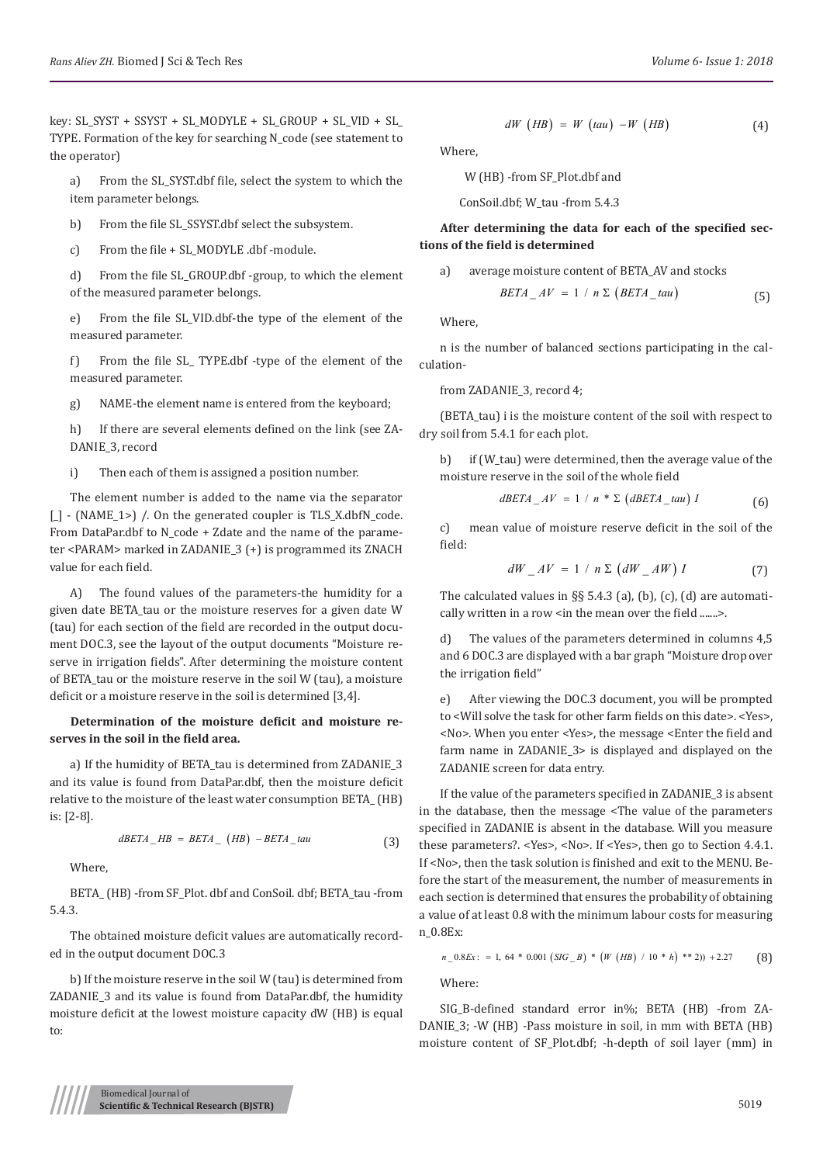key: SL\_SYST + SSYST + SL\_MODYLE + SL\_GROUP + SL\_VID + SL\_ TYPE. Formation of the key for searching N\_code (see statement to the operator)

a) From the SL\_SYST.dbf file, select the system to which the item parameter belongs.

b) From the file SL SSYST.dbf select the subsystem.

c) From the file + SL\_MODYLE .dbf -module.

d) From the file SL\_GROUP.dbf -group, to which the element of the measured parameter belongs.

e) From the file SL\_VID.dbf-the type of the element of the measured parameter.

f) From the file SL\_ TYPE.dbf -type of the element of the measured parameter.

g) NAME-the element name is entered from the keyboard;

h) If there are several elements defined on the link (see ZA-DANIE\_3, record

i) Then each of them is assigned a position number.

The element number is added to the name via the separator [\_] - (NAME\_1>) /. On the generated coupler is TLS\_X.dbfN\_code. From DataPar.dbf to N\_code + Zdate and the name of the parameter <PARAM> marked in ZADANIE\_3 (+) is programmed its ZNACH value for each field.

A) The found values of the parameters-the humidity for a given date BETA\_tau or the moisture reserves for a given date W (tau) for each section of the field are recorded in the output document DOC.3, see the layout of the output documents "Moisture reserve in irrigation fields". After determining the moisture content of BETA tau or the moisture reserve in the soil W (tau), a moisture deficit or a moisture reserve in the soil is determined [3,4].

## **Determination of the moisture deficit and moisture reserves in the soil in the field area.**

a) If the humidity of BETA tau is determined from ZADANIE 3 and its value is found from DataPar.dbf, then the moisture deficit relative to the moisture of the least water consumption BETA\_ (HB) is: [2-8].

$$
dBETA_{HB} = BETA_{HB} (HB) - BETA_{tau} (3)
$$

Where,

BETA (HB) -from SF\_Plot. dbf and ConSoil. dbf; BETA\_tau -from 5.4.3.

The obtained moisture deficit values are automatically recorded in the output document DOC.3

b) If the moisture reserve in the soil W (tau) is determined from ZADANIE\_3 and its value is found from DataPar.dbf, the humidity moisture deficit at the lowest moisture capacity dW (HB) is equal to:

$$
dW (HB) = W (tau) - W (HB)
$$
 (4)

Where,

W (HB) -from SF\_Plot.dbf and

ConSoil.dbf; W\_tau -from 5.4.3

**After determining the data for each of the specified sections of the field is determined**

a) average moisture content of BETA\_AV and stocks  

$$
BETA\_AV = 1 / n \sum (BETA\_tau)
$$
 (5)

Where,

n is the number of balanced sections participating in the calculation-

from ZADANIE\_3, record 4;

(BETA\_tau) i is the moisture content of the soil with respect to dry soil from 5.4.1 for each plot.

b) if (W\_tau) were determined, then the average value of the moisture reserve in the soil of the whole field

$$
dBETA\_AV = 1 / n * \Sigma (dBETA\_tau) I
$$
 (6)

c) mean value of moisture reserve deficit in the soil of the field:

$$
dW_{-}AV = 1 / n \sum (dW_{-}AW) I
$$
 (7)

The calculated values in  $\S$  5.4.3 (a), (b), (c), (d) are automatically written in a row <in the mean over the field .......>.

d) The values of the parameters determined in columns 4,5 and 6 DOC.3 are displayed with a bar graph "Moisture drop over the irrigation field"

e) After viewing the DOC.3 document, you will be prompted to <Will solve the task for other farm fields on this date>. <Yes>, <No>. When you enter <Yes>, the message <Enter the field and farm name in ZADANIE\_3> is displayed and displayed on the ZADANIE screen for data entry.

If the value of the parameters specified in ZADANIE\_3 is absent in the database, then the message <The value of the parameters specified in ZADANIE is absent in the database. Will you measure these parameters?. <Yes>, <No>. If <Yes>, then go to Section 4.4.1. If <No>, then the task solution is finished and exit to the MENU. Before the start of the measurement, the number of measurements in each section is determined that ensures the probability of obtaining a value of at least 0.8 with the minimum labour costs for measuring n\_0.8Ex:

$$
n_{-}0.8Ex: = 1, 64 * 0.001 (SIG_{-}B) * (W (HB) / 10 * h) ** 2)) + 2.27
$$
 (8)

Where:

SIG B-defined standard error in%; BETA (HB) -from ZA-DANIE\_3; -W (HB) -Pass moisture in soil, in mm with BETA (HB) moisture content of SF\_Plot.dbf; -h-depth of soil layer (mm) in